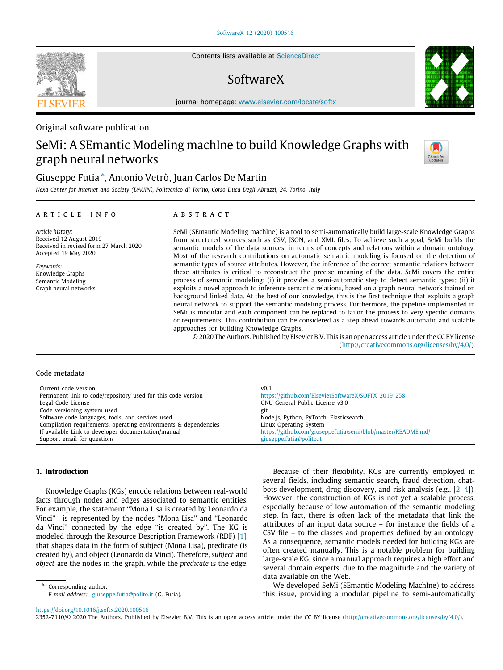Contents lists available at [ScienceDirect](http://www.elsevier.com/locate/softx)

# SoftwareX

journal homepage: [www.elsevier.com/locate/softx](http://www.elsevier.com/locate/softx)

# Original software publication

# SeMi: A SEmantic Modeling machIne to build Knowledge Graphs with graph neural networks

# Giuseppe Futia [∗](#page-0-0) , Antonio Vetrò, Juan Carlos De Martin

*Nexa Center for Internet and Society (DAUIN), Politecnico di Torino, Corso Duca Degli Abruzzi, 24, Torino, Italy*

# a r t i c l e i n f o

*Article history:* Received 12 August 2019 Received in revised form 27 March 2020 Accepted 19 May 2020

*Keywords:* Knowledge Graphs Semantic Modeling Graph neural networks

# A B S T R A C T

SeMi (SEmantic Modeling machIne) is a tool to semi-automatically build large-scale Knowledge Graphs from structured sources such as CSV, JSON, and XML files. To achieve such a goal, SeMi builds the semantic models of the data sources, in terms of concepts and relations within a domain ontology. Most of the research contributions on automatic semantic modeling is focused on the detection of semantic types of source attributes. However, the inference of the correct semantic relations between these attributes is critical to reconstruct the precise meaning of the data. SeMi covers the entire process of semantic modeling: (i) it provides a semi-automatic step to detect semantic types; (ii) it exploits a novel approach to inference semantic relations, based on a graph neural network trained on background linked data. At the best of our knowledge, this is the first technique that exploits a graph neural network to support the semantic modeling process. Furthermore, the pipeline implemented in SeMi is modular and each component can be replaced to tailor the process to very specific domains or requirements. This contribution can be considered as a step ahead towards automatic and scalable approaches for building Knowledge Graphs.

© 2020 The Authors. Published by Elsevier B.V. This is an open access article under the CC BY license [\(http://creativecommons.org/licenses/by/4.0/](http://creativecommons.org/licenses/by/4.0/)).

#### Code metadata

| Current code version                                            |                                                              |
|-----------------------------------------------------------------|--------------------------------------------------------------|
|                                                                 | V <sub>0.1</sub>                                             |
| Permanent link to code/repository used for this code version    | https://github.com/ElsevierSoftwareX/SOFTX_2019_258          |
| Legal Code License                                              | GNU General Public License v3.0                              |
| Code versioning system used                                     | git                                                          |
| Software code languages, tools, and services used               | Node.js, Python, PyTorch, Elasticsearch.                     |
| Compilation requirements, operating environments & dependencies | Linux Operating System                                       |
| If available Link to developer documentation/manual             | https://github.com/giuseppefutia/semi/blob/master/README.md/ |
| Support email for questions                                     | giuseppe.futia@polito.it                                     |

# **1. Introduction**

Knowledge Graphs (KGs) encode relations between real-world facts through nodes and edges associated to semantic entities. For example, the statement ''Mona Lisa is created by Leonardo da Vinci'' , is represented by the nodes ''Mona Lisa'' and ''Leonardo da Vinci'' connected by the edge ''is created by''. The KG is modeled through the Resource Description Framework (RDF) [[1\]](#page-9-0), that shapes data in the form of subject (Mona Lisa), predicate (is created by), and object (Leonardo da Vinci). Therefore, *subject* and *object* are the nodes in the graph, while the *predicate* is the edge.

<span id="page-0-0"></span>Corresponding author. *E-mail address:* [giuseppe.futia@polito.it](mailto:giuseppe.futia@polito.it) (G. Futia).

Because of their flexibility, KGs are currently employed in several fields, including semantic search, fraud detection, chatbots development, drug discovery, and risk analysis (e.g., [\[2–](#page-9-1)[4\]](#page-9-2)). However, the construction of KGs is not yet a scalable process, especially because of low automation of the semantic modeling step. In fact, there is often lack of the metadata that link the attributes of an input data source – for instance the fields of a CSV file – to the classes and properties defined by an ontology. As a consequence, semantic models needed for building KGs are often created manually. This is a notable problem for building large-scale KG, since a manual approach requires a high effort and several domain experts, due to the magnitude and the variety of data available on the Web.

We developed SeMi (SEmantic Modeling MachIne) to address this issue, providing a modular pipeline to semi-automatically

<https://doi.org/10.1016/j.softx.2020.100516>

2352-7110/© 2020 The Authors. Published by Elsevier B.V. This is an open access article under the CC BY license ([http://creativecommons.org/licenses/by/4.0/\)](http://creativecommons.org/licenses/by/4.0/).





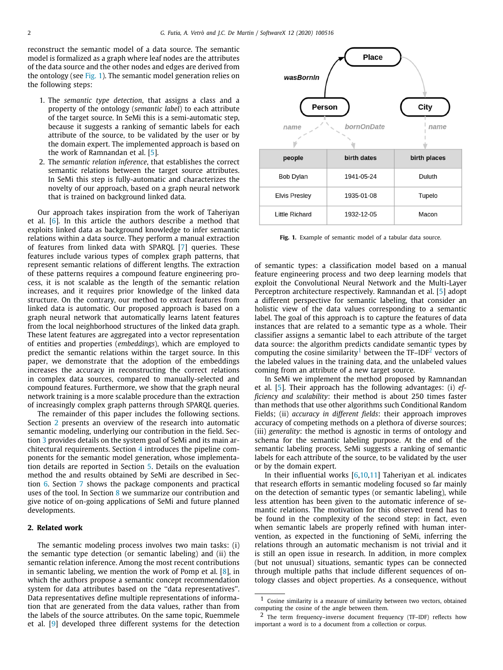reconstruct the semantic model of a data source. The semantic model is formalized as a graph where leaf nodes are the attributes of the data source and the other nodes and edges are derived from the ontology (see [Fig.](#page-1-0) [1](#page-1-0)). The semantic model generation relies on the following steps:

- 1. The *semantic type detection*, that assigns a class and a property of the ontology (*semantic label*) to each attribute of the target source. In SeMi this is a semi-automatic step, because it suggests a ranking of semantic labels for each attribute of the source, to be validated by the user or by the domain expert. The implemented approach is based on the work of Ramnandan et al. [\[5](#page-9-3)].
- 2. The *semantic relation inference*, that establishes the correct semantic relations between the target source attributes. In SeMi this step is fully-automatic and characterizes the novelty of our approach, based on a graph neural network that is trained on background linked data.

Our approach takes inspiration from the work of Taheriyan et al. [\[6](#page-9-4)]. In this article the authors describe a method that exploits linked data as background knowledge to infer semantic relations within a data source. They perform a manual extraction of features from linked data with SPARQL [\[7\]](#page-9-5) queries. These features include various types of complex graph patterns, that represent semantic relations of different lengths. The extraction of these patterns requires a compound feature engineering process, it is not scalable as the length of the semantic relation increases, and it requires prior knowledge of the linked data structure. On the contrary, our method to extract features from linked data is automatic. Our proposed approach is based on a graph neural network that automatically learns latent features from the local neighborhood structures of the linked data graph. These latent features are aggregated into a vector representation of entities and properties (*embeddings*), which are employed to predict the semantic relations within the target source. In this paper, we demonstrate that the adoption of the embeddings increases the accuracy in reconstructing the correct relations in complex data sources, compared to manually-selected and compound features. Furthermore, we show that the graph neural network training is a more scalable procedure than the extraction of increasingly complex graph patterns through SPARQL queries.

The remainder of this paper includes the following sections. Section [2](#page-1-1) presents an overview of the research into automatic semantic modeling, underlying our contribution in the field. Section [3](#page-2-0) provides details on the system goal of SeMi and its main architectural requirements. Section [4](#page-2-1) introduces the pipeline components for the semantic model generation, whose implementation details are reported in Section [5](#page-4-0). Details on the evaluation method the and results obtained by SeMi are described in Section [6.](#page-5-0) Section [7](#page-7-0) shows the package components and practical uses of the tool. In Section [8](#page-8-0) we summarize our contribution and give notice of on-going applications of SeMi and future planned developments.

# **2. Related work**

<span id="page-1-1"></span>The semantic modeling process involves two main tasks: (i) the semantic type detection (or semantic labeling) and (ii) the semantic relation inference. Among the most recent contributions in semantic labeling, we mention the work of Pomp et al. [[8](#page-9-6)], in which the authors propose a semantic concept recommendation system for data attributes based on the ''data representatives''. Data representatives define multiple representations of information that are generated from the data values, rather than from the labels of the source attributes. On the same topic, Ruemmele et al. [[9\]](#page-9-7) developed three different systems for the detection



<span id="page-1-0"></span>**Fig. 1.** Example of semantic model of a tabular data source.

of semantic types: a classification model based on a manual feature engineering process and two deep learning models that exploit the Convolutional Neural Network and the Multi-Layer Perceptron architecture respectively. Ramnandan et al. [\[5\]](#page-9-3) adopt a different perspective for semantic labeling, that consider an holistic view of the data values corresponding to a semantic label. The goal of this approach is to capture the features of data instances that are related to a semantic type as a whole. Their classifier assigns a semantic label to each attribute of the target data source: the algorithm predicts candidate semantic types by computing the cosine similarity<sup>[1](#page-1-2)</sup> between the TF-IDF<sup>[2](#page-1-3)</sup> vectors of the labeled values in the training data, and the unlabeled values coming from an attribute of a new target source.

<span id="page-1-3"></span><span id="page-1-2"></span>In SeMi we implement the method proposed by Ramnandan et al. [[5\]](#page-9-3). Their approach has the following advantages: (i) *efficiency and scalability*: their method is about 250 times faster than methods that use other algorithms such Conditional Random Fields; (ii) *accuracy in different fields*: their approach improves accuracy of competing methods on a plethora of diverse sources; (iii) *generality*: the method is agnostic in terms of ontology and schema for the semantic labeling purpose. At the end of the semantic labeling process, SeMi suggests a ranking of semantic labels for each attribute of the source, to be validated by the user or by the domain expert.

In their influential works  $[6,10,11]$  $[6,10,11]$  $[6,10,11]$  $[6,10,11]$  Taheriyan et al. indicates that research efforts in semantic modeling focused so far mainly on the detection of semantic types (or semantic labeling), while less attention has been given to the automatic inference of semantic relations. The motivation for this observed trend has to be found in the complexity of the second step: in fact, even when semantic labels are properly refined with human intervention, as expected in the functioning of SeMi, inferring the relations through an automatic mechanism is not trivial and it is still an open issue in research. In addition, in more complex (but not unusual) situations, semantic types can be connected through multiple paths that include different sequences of ontology classes and object properties. As a consequence, without

<sup>1</sup> Cosine similarity is a measure of similarity between two vectors, obtained computing the cosine of the angle between them.

<sup>2</sup> The term frequency–inverse document frequency (TF–IDF) reflects how important a word is to a document from a collection or corpus.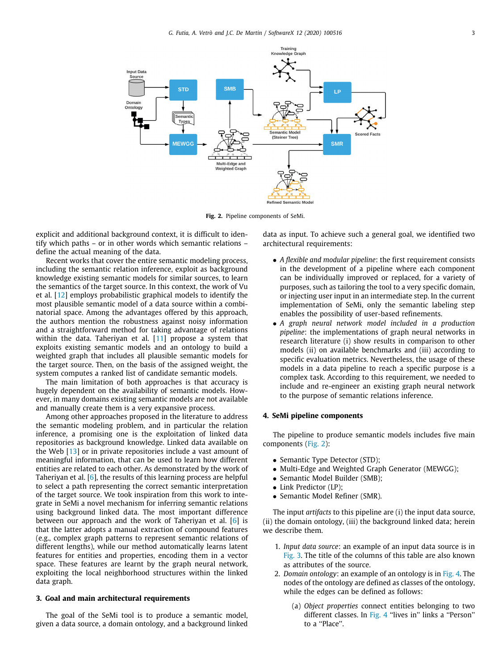

**Fig. 2.** Pipeline components of SeMi.

<span id="page-2-2"></span>explicit and additional background context, it is difficult to identify which paths – or in other words which semantic relations – define the actual meaning of the data.

Recent works that cover the entire semantic modeling process, including the semantic relation inference, exploit as background knowledge existing semantic models for similar sources, to learn the semantics of the target source. In this context, the work of Vu et al. [\[12](#page-9-10)] employs probabilistic graphical models to identify the most plausible semantic model of a data source within a combinatorial space. Among the advantages offered by this approach, the authors mention the robustness against noisy information and a straightforward method for taking advantage of relations within the data. Taheriyan et al.  $[11]$  $[11]$  propose a system that exploits existing semantic models and an ontology to build a weighted graph that includes all plausible semantic models for the target source. Then, on the basis of the assigned weight, the system computes a ranked list of candidate semantic models.

The main limitation of both approaches is that accuracy is hugely dependent on the availability of semantic models. However, in many domains existing semantic models are not available and manually create them is a very expansive process.

Among other approaches proposed in the literature to address the semantic modeling problem, and in particular the relation inference, a promising one is the exploitation of linked data repositories as background knowledge. Linked data available on the Web [[13](#page-9-11)] or in private repositories include a vast amount of meaningful information, that can be used to learn how different entities are related to each other. As demonstrated by the work of Taheriyan et al. [\[6](#page-9-4)], the results of this learning process are helpful to select a path representing the correct semantic interpretation of the target source. We took inspiration from this work to integrate in SeMi a novel mechanism for inferring semantic relations using background linked data. The most important difference between our approach and the work of Taheriyan et al. [[6](#page-9-4)] is that the latter adopts a manual extraction of compound features (e.g., complex graph patterns to represent semantic relations of different lengths), while our method automatically learns latent features for entities and properties, encoding them in a vector space. These features are learnt by the graph neural network, exploiting the local neighborhood structures within the linked data graph.

# **3. Goal and main architectural requirements**

<span id="page-2-0"></span>The goal of the SeMi tool is to produce a semantic model, given a data source, a domain ontology, and a background linked data as input. To achieve such a general goal, we identified two architectural requirements:

- *A flexible and modular pipeline*: the first requirement consists in the development of a pipeline where each component can be individually improved or replaced, for a variety of purposes, such as tailoring the tool to a very specific domain, or injecting user input in an intermediate step. In the current implementation of SeMi, only the semantic labeling step enables the possibility of user-based refinements.
- *A graph neural network model included in a production pipeline*: the implementations of graph neural networks in research literature (i) show results in comparison to other models (ii) on available benchmarks and (iii) according to specific evaluation metrics. Nevertheless, the usage of these models in a data pipeline to reach a specific purpose is a complex task. According to this requirement, we needed to include and re-engineer an existing graph neural network to the purpose of semantic relations inference.

#### **4. SeMi pipeline components**

<span id="page-2-1"></span>The pipeline to produce semantic models includes five main components ([Fig.](#page-2-2) [2](#page-2-2)):

- Semantic Type Detector (STD);
- Multi-Edge and Weighted Graph Generator (MEWGG);
- Semantic Model Builder (SMB);
- Link Predictor (LP):
- Semantic Model Refiner (SMR).

The input *artifacts* to this pipeline are (i) the input data source, (ii) the domain ontology, (iii) the background linked data; herein we describe them.

- 1. *Input data source*: an example of an input data source is in [Fig.](#page-3-0) [3](#page-3-0). The title of the columns of this table are also known as attributes of the source.
- 2. *Domain ontology*: an example of an ontology is in [Fig.](#page-3-1) [4.](#page-3-1) The nodes of the ontology are defined as classes of the ontology, while the edges can be defined as follows:
	- (a) *Object properties* connect entities belonging to two different classes. In [Fig.](#page-3-1) [4](#page-3-1) "lives in" links a "Person" to a ''Place''.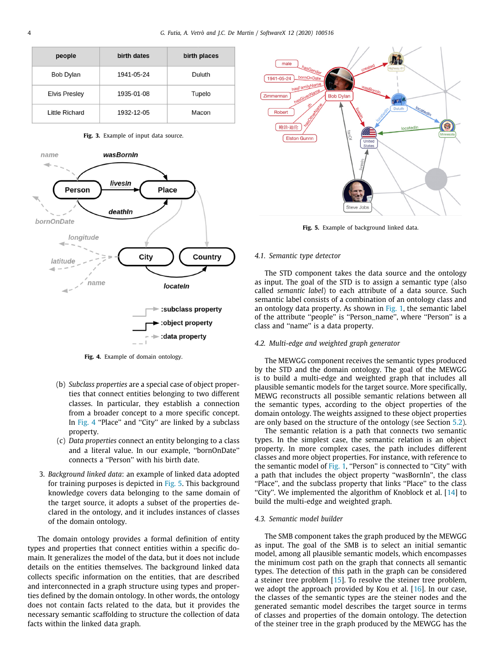| people               | birth dates | birth places |
|----------------------|-------------|--------------|
| Bob Dylan            | 1941-05-24  | Duluth       |
| <b>Elvis Presley</b> | 1935-01-08  | Tupelo       |
| Little Richard       | 1932-12-05  | Macon        |

**Fig. 3.** Example of input data source.

<span id="page-3-0"></span>

**Fig. 4.** Example of domain ontology.

- <span id="page-3-1"></span>(b) *Subclass properties* are a special case of object properties that connect entities belonging to two different classes. In particular, they establish a connection from a broader concept to a more specific concept. In [Fig.](#page-3-1) [4](#page-3-1) "Place" and "City" are linked by a subclass property.
- (c) *Data properties* connect an entity belonging to a class and a literal value. In our example, ''bornOnDate'' connects a ''Person'' with his birth date.
- 3. *Background linked data*: an example of linked data adopted for training purposes is depicted in [Fig.](#page-3-2) [5.](#page-3-2) This background knowledge covers data belonging to the same domain of the target source, it adopts a subset of the properties declared in the ontology, and it includes instances of classes of the domain ontology.

The domain ontology provides a formal definition of entity types and properties that connect entities within a specific domain. It generalizes the model of the data, but it does not include details on the entities themselves. The background linked data collects specific information on the entities, that are described and interconnected in a graph structure using types and properties defined by the domain ontology. In other words, the ontology does not contain facts related to the data, but it provides the necessary semantic scaffolding to structure the collection of data facts within the linked data graph.



**Fig. 5.** Example of background linked data.

# <span id="page-3-2"></span>*4.1. Semantic type detector*

<span id="page-3-4"></span>The STD component takes the data source and the ontology as input. The goal of the STD is to assign a semantic type (also called *semantic label*) to each attribute of a data source. Such semantic label consists of a combination of an ontology class and an ontology data property. As shown in [Fig.](#page-1-0) [1,](#page-1-0) the semantic label of the attribute ''people'' is ''Person\_name'', where ''Person'' is a class and ''name'' is a data property.

### *4.2. Multi-edge and weighted graph generator*

<span id="page-3-5"></span>The MEWGG component receives the semantic types produced by the STD and the domain ontology. The goal of the MEWGG is to build a multi-edge and weighted graph that includes all plausible semantic models for the target source. More specifically, MEWG reconstructs all possible semantic relations between all the semantic types, according to the object properties of the domain ontology. The weights assigned to these object properties are only based on the structure of the ontology (see Section [5.2\)](#page-4-1).

The semantic relation is a path that connects two semantic types. In the simplest case, the semantic relation is an object property. In more complex cases, the path includes different classes and more object properties. For instance, with reference to the semantic model of [Fig.](#page-1-0) [1,](#page-1-0) "Person" is connected to "City" with a path that includes the object property ''wasBornIn'', the class "Place", and the subclass property that links "Place" to the class "City". We implemented the algorithm of Knoblock et al.  $[14]$  $[14]$  to build the multi-edge and weighted graph.

# *4.3. Semantic model builder*

<span id="page-3-3"></span>The SMB component takes the graph produced by the MEWGG as input. The goal of the SMB is to select an initial semantic model, among all plausible semantic models, which encompasses the minimum cost path on the graph that connects all semantic types. The detection of this path in the graph can be considered a steiner tree problem [[15\]](#page-9-13). To resolve the steiner tree problem, we adopt the approach provided by Kou et al. [[16](#page-9-14)]. In our case, the classes of the semantic types are the steiner nodes and the generated semantic model describes the target source in terms of classes and properties of the domain ontology. The detection of the steiner tree in the graph produced by the MEWGG has the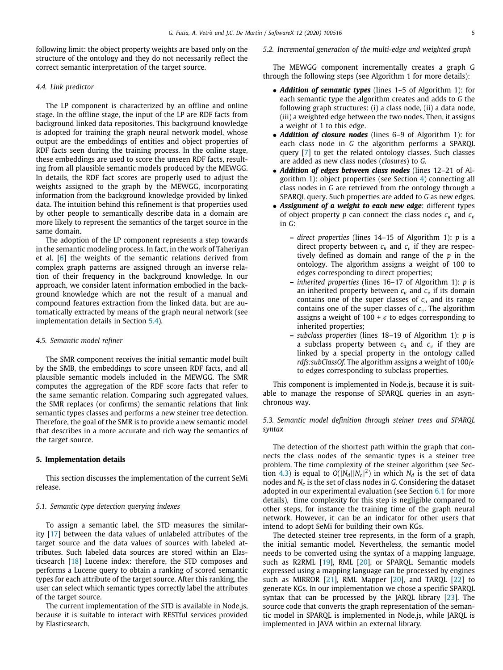following limit: the object property weights are based only on the structure of the ontology and they do not necessarily reflect the correct semantic interpretation of the target source.

### *4.4. Link predictor*

<span id="page-4-2"></span>The LP component is characterized by an offline and online stage. In the offline stage, the input of the LP are RDF facts from background linked data repositories. This background knowledge is adopted for training the graph neural network model, whose output are the embeddings of entities and object properties of RDF facts seen during the training process. In the online stage, these embeddings are used to score the unseen RDF facts, resulting from all plausible semantic models produced by the MEWGG. In details, the RDF fact scores are properly used to adjust the weights assigned to the graph by the MEWGG, incorporating information from the background knowledge provided by linked data. The intuition behind this refinement is that properties used by other people to semantically describe data in a domain are more likely to represent the semantics of the target source in the same domain.

The adoption of the LP component represents a step towards in the semantic modeling process. In fact, in the work of Taheriyan et al. [[6\]](#page-9-4) the weights of the semantic relations derived from complex graph patterns are assigned through an inverse relation of their frequency in the background knowledge. In our approach, we consider latent information embodied in the background knowledge which are not the result of a manual and compound features extraction from the linked data, but are automatically extracted by means of the graph neural network (see implementation details in Section [5.4\)](#page-5-1).

#### *4.5. Semantic model refiner*

<span id="page-4-3"></span>The SMR component receives the initial semantic model built by the SMB, the embeddings to score unseen RDF facts, and all plausible semantic models included in the MEWGG. The SMR computes the aggregation of the RDF score facts that refer to the same semantic relation. Comparing such aggregated values, the SMR replaces (or confirms) the semantic relations that link semantic types classes and performs a new steiner tree detection. Therefore, the goal of the SMR is to provide a new semantic model that describes in a more accurate and rich way the semantics of the target source.

#### **5. Implementation details**

<span id="page-4-0"></span>This section discusses the implementation of the current SeMi release.

#### *5.1. Semantic type detection querying indexes*

To assign a semantic label, the STD measures the similarity [\[17\]](#page-9-15) between the data values of unlabeled attributes of the target source and the data values of sources with labeled attributes. Such labeled data sources are stored within an Elasticsearch [[18\]](#page-9-16) Lucene index: therefore, the STD composes and performs a Lucene query to obtain a ranking of scored semantic types for each attribute of the target source. After this ranking, the user can select which semantic types correctly label the attributes of the target source.

The current implementation of the STD is available in Node.js, because it is suitable to interact with RESTful services provided by Elasticsearch.

# *5.2. Incremental generation of the multi-edge and weighted graph*

<span id="page-4-1"></span>The MEWGG component incrementally creates a graph G through the following steps (see Algorithm 1 for more details):

- *Addition of semantic types* (lines 1–5 of Algorithm 1): for each semantic type the algorithm creates and adds to *G* the following graph structures: (i) a class node, (ii) a data node, (iii) a weighted edge between the two nodes. Then, it assigns a weight of 1 to this edge.
- *Addition of closure nodes* (lines 6–9 of Algorithm 1): for each class node in *G* the algorithm performs a SPARQL query [\[7](#page-9-5)] to get the related ontology classes. Such classes are added as new class nodes (*closures*) to *G*.
- *Addition of edges between class nodes* (lines 12–21 of Algorithm 1): object properties (see Section [4](#page-2-1)) connecting all class nodes in *G* are retrieved from the ontology through a SPARQL query. Such properties are added to *G* as new edges.
- *Assignment of a weight to each new edge*: different types of object property *p* can connect the class nodes  $c<sub>u</sub>$  and  $c<sub>v</sub>$ in *G*:
	- **–** *direct properties* (lines 14–15 of Algorithm 1): *p* is a direct property between  $c_u$  and  $c_v$  if they are respectively defined as domain and range of the *p* in the ontology. The algorithm assigns a weight of 100 to edges corresponding to direct properties;
	- **–** *inherited properties* (lines 16–17 of Algorithm 1): *p* is an inherited property between  $c_u$  and  $c_v$  if its domain contains one of the super classes of  $c<sub>u</sub>$  and its range contains one of the super classes of  $c_v$ . The algorithm assigns a weight of 100 +  $\epsilon$  to edges corresponding to inherited properties;
	- **–** *subclass properties* (lines 18–19 of Algorithm 1): *p* is a subclass property between  $c_u$  and  $c_v$  if they are linked by a special property in the ontology called *rdfs:subClassOf.* The algorithm assigns a weight of 100/ $\epsilon$ to edges corresponding to subclass properties.

This component is implemented in Node.js, because it is suitable to manage the response of SPARQL queries in an asynchronous way.

# *5.3. Semantic model definition through steiner trees and SPARQL syntax*

The detection of the shortest path within the graph that connects the class nodes of the semantic types is a steiner tree problem. The time complexity of the steiner algorithm (see Sec-tion [4.3\)](#page-3-3) is equal to  $O(|N_d||N_c|^2)$  in which  $N_d$  is the set of data nodes and *N<sup>c</sup>* is the set of class nodes in *G*. Considering the dataset adopted in our experimental evaluation (see Section [6.1](#page-6-0) for more details), time complexity for this step is negligible compared to other steps, for instance the training time of the graph neural network. However, it can be an indicator for other users that intend to adopt SeMi for building their own KGs.

The detected steiner tree represents, in the form of a graph, the initial semantic model. Nevertheless, the semantic model needs to be converted using the syntax of a mapping language, such as R2RML [[19](#page-9-17)], RML [[20](#page-9-18)], or SPARQL. Semantic models expressed using a mapping language can be processed by engines such as MIRROR [[21](#page-9-19)], RML Mapper [\[20](#page-9-18)], and TARQL [\[22\]](#page-9-20) to generate KGs. In our implementation we chose a specific SPARQL syntax that can be processed by the JARQL library [\[23\]](#page-9-21). The source code that converts the graph representation of the semantic model in SPARQL is implemented in Node.js, while JARQL is implemented in JAVA within an external library.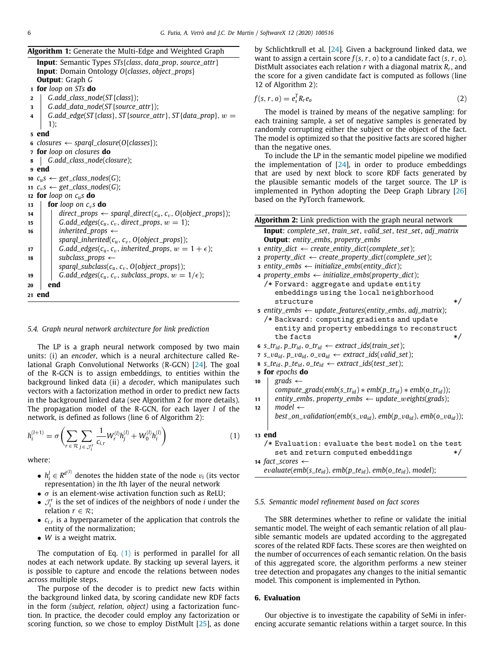| <b>Algorithm 1:</b> Generate the Multi-Edge and Weighted Graph                 |
|--------------------------------------------------------------------------------|
| <b>Input:</b> Semantic Types STs{class, data_prop, source_attr}                |
| <b>Input:</b> Domain Ontology O{classes, object_props}                         |
| <b>Output:</b> Graph G                                                         |
| 1 for loop on STs do                                                           |
| $G.add_class\_node(ST{class};$<br>2                                            |
| G.add_data_node(ST{source_attr});<br>3                                         |
| G.add_edge(ST{class}, ST{source_attr}, ST{data_prop}, $w =$<br>4               |
| 1);                                                                            |
| <sub>5</sub> end                                                               |
| 6 closures $\leftarrow$ sparql_closure(O{classes});                            |
| 7 for loop on closures do                                                      |
| G.add_class_node(closure);<br>8                                                |
| 9 end                                                                          |
| 10 $c_u s \leftarrow get\_class\_nodes(G);$                                    |
| 11 $c_v s \leftarrow get\_class\_nodes(G);$                                    |
| 12 for loop on $c_{\mu} s$ do                                                  |
| <b>for</b> loop on $c_n$ <b>s do</b><br>13                                     |
| $direct\_props \leftarrow spargl\_direct(c_u, c_v, O\{object\_props\});$<br>14 |
| G.add_edges( $c_u$ , $c_v$ , direct_props, $w = 1$ );<br>15                    |
| inherited_props $\leftarrow$<br>16                                             |
| sparql_inherited( $c_u$ , $c_v$ , O{object_props});                            |
| G.add_edges( $c_u$ , $c_v$ , inherited_props, $w = 1 + \epsilon$ );<br>17      |
| subclass_props $\leftarrow$<br>18                                              |
| sparql_subclass( $c_u$ , $c_v$ , O{object_props});                             |
| G.add_edges( $c_u$ , $c_v$ , subclass_props, $w = 1/\epsilon$ );<br>19         |
| end<br>20                                                                      |
| 21 end                                                                         |

#### *5.4. Graph neural network architecture for link prediction*

<span id="page-5-1"></span>The LP is a graph neural network composed by two main units: (i) an *encoder*, which is a neural architecture called Relational Graph Convolutional Networks (R-GCN) [[24\]](#page-9-22). The goal of the R-GCN is to assign embeddings, to entities within the background linked data (ii) a *decoder*, which manipulates such vectors with a factorization method in order to predict new facts in the background linked data (see Algorithm 2 for more details). The propagation model of the R-GCN, for each layer *l* of the network, is defined as follows (line 6 of Algorithm 2):

$$
h_i^{(l+1)} = \sigma \left( \sum_{r \in \mathcal{R}} \sum_{j \in \mathcal{J}_i^r} \frac{1}{c_{i,r}} W_r^{(l)} h_j^{(l)} + W_0^{(l)} h_i^{(l)} \right) \tag{1}
$$

where:

- $h_i^l \in R^{d^{(l)}}$  denotes the hidden state of the node  $v_i$  (its vector representation) in the *l*th layer of the neural network
- $\sigma$  is an element-wise activation function such as ReLU;
- $\mathcal{J}_i^r$  is the set of indices of the neighbors of node *i* under the relation  $r \in \mathcal{R}$ ;
- *ci*,*<sup>r</sup>* is a hyperparameter of the application that controls the entity of the normalization;
- *W* is a weight matrix.

The computation of Eq. ([1\)](#page-5-2) is performed in parallel for all nodes at each network update. By stacking up several layers, it is possible to capture and encode the relations between nodes across multiple steps.

The purpose of the decoder is to predict new facts within the background linked data, by scoring candidate new RDF facts in the form *(subject, relation, object)* using a factorization function. In practice, the decoder could employ any factorization or scoring function, so we chose to employ DistMult [[25](#page-9-23)], as done by Schlichtkrull et al. [\[24\]](#page-9-22). Given a background linked data, we want to assign a certain score *f* (*s*,*r*, *o*) to a candidate fact (*s*,*r*, *o*). DistMult associates each relation *r* with a diagonal matrix *R<sup>r</sup>* , and the score for a given candidate fact is computed as follows (line 12 of Algorithm 2):

$$
f(s, r, o) = e_s^T R_r e_o \tag{2}
$$

The model is trained by means of the negative sampling: for each training sample, a set of negative samples is generated by randomly corrupting either the subject or the object of the fact. The model is optimized so that the positive facts are scored higher than the negative ones.

To include the LP in the semantic model pipeline we modified the implementation of  $[24]$  $[24]$ , in order to produce embeddings that are used by next block to score RDF facts generated by the plausible semantic models of the target source. The LP is implemented in Python adopting the Deep Graph Library [\[26\]](#page-9-24) based on the PyTorch framework.

|    | Algorithm 2: Link prediction with the graph neural network                                          |
|----|-----------------------------------------------------------------------------------------------------|
|    | <b>Input</b> : complete_set, train_set, valid_set, test_set, adj_matrix                             |
|    | <b>Output:</b> entity_embs, property_embs                                                           |
|    | 1 entity_dict $\leftarrow$ create_entity_dict(complete_set);                                        |
|    | 2 property_dict $\leftarrow$ create_property_dict(complete_set);                                    |
|    | 3 entity_embs $\leftarrow$ initialize_embs(entity_dict);                                            |
|    | 4 property_embs $\leftarrow$ initialize_embs(property_dict);                                        |
|    | /* Forward: aggregate and update entity                                                             |
|    | embeddings using the local neighborhood                                                             |
|    | $\ast/$<br>structure                                                                                |
|    | 5 entity_embs $\leftarrow$ update_features(entity_embs, adj_matrix);                                |
|    | /* Backward: computing gradients and update                                                         |
|    | entity and property embeddings to reconstruct                                                       |
|    | the facts<br>*/                                                                                     |
|    | 6 s_tr <sub>id</sub> , p_tr <sub>id</sub> , o_tr <sub>id</sub> $\leftarrow$ extract_ids(train_set); |
|    | 7 $s_v a_{id}$ , $p_v a_{id}$ , $o_v a_{id} \leftarrow$ extract_ids(valid_set);                     |
|    | <b>8</b> S_te <sub>id</sub> , p_te <sub>id</sub> , o_te <sub>id</sub> ← extract_ids(test_set);      |
|    | 9 for epochs do                                                                                     |
| 10 | grads $\leftarrow$                                                                                  |
|    | compute_grads(emb(s_tr <sub>id</sub> ) * emb(p_tr <sub>id</sub> ) * emb(o_tr <sub>id</sub> ));      |
| 11 | entity_embs, property_embs $\leftarrow$ update_weights(grads);                                      |
| 12 | model $\leftarrow$                                                                                  |
|    | best_on_validation(emb(s_va <sub>id</sub> ), emb(p_va <sub>id</sub> ), emb(o_va <sub>id</sub> ));   |
|    |                                                                                                     |
|    | 13 end                                                                                              |
|    | /* Evaluation: evaluate the best model on the test                                                  |
|    | set and return computed embeddings<br>*/                                                            |
|    | 14 fact_scores $\leftarrow$                                                                         |
|    | $evaluate(emb(s_{td}), emb(p_{td}),emb(o_{td}),mob(t_{id}))$                                        |
|    |                                                                                                     |

#### <span id="page-5-2"></span>*5.5. Semantic model refinement based on fact scores*

<span id="page-5-3"></span>The SBR determines whether to refine or validate the initial semantic model. The weight of each semantic relation of all plausible semantic models are updated according to the aggregated scores of the related RDF facts. These scores are then weighted on the number of occurrences of each semantic relation. On the basis of this aggregated score, the algorithm performs a new steiner tree detection and propagates any changes to the initial semantic model. This component is implemented in Python.

## **6. Evaluation**

<span id="page-5-0"></span>Our objective is to investigate the capability of SeMi in inferencing accurate semantic relations within a target source. In this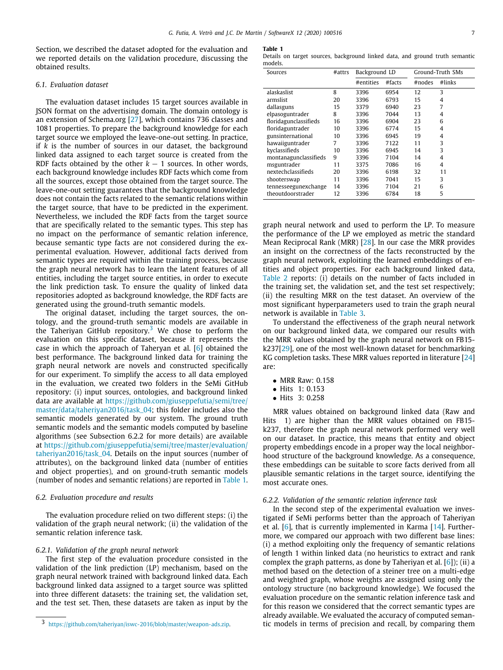Section, we described the dataset adopted for the evaluation and we reported details on the validation procedure, discussing the obtained results.

# *6.1. Evaluation dataset*

<span id="page-6-0"></span>The evaluation dataset includes 15 target sources available in JSON format on the advertising domain. The domain ontology is an extension of Schema.org [[27](#page-9-25)], which contains 736 classes and 1081 properties. To prepare the background knowledge for each target source we employed the leave-one-out setting. In practice, if *k* is the number of sources in our dataset, the background linked data assigned to each target source is created from the RDF facts obtained by the other  $k - 1$  sources. In other words, each background knowledge includes RDF facts which come from all the sources, except those obtained from the target source. The leave-one-out setting guarantees that the background knowledge does not contain the facts related to the semantic relations within the target source, that have to be predicted in the experiment. Nevertheless, we included the RDF facts from the target source that are specifically related to the semantic types. This step has no impact on the performance of semantic relation inference, because semantic type facts are not considered during the experimental evaluation. However, additional facts derived from semantic types are required within the training process, because the graph neural network has to learn the latent features of all entities, including the target source entities, in order to execute the link prediction task. To ensure the quality of linked data repositories adopted as background knowledge, the RDF facts are generated using the ground-truth semantic models.

The original dataset, including the target sources, the ontology, and the ground-truth semantic models are available in the Taheriyan GitHub repository.<sup>[3](#page-6-1)</sup> We chose to perform the evaluation on this specific dataset, because it represents the case in which the approach of Taheryan et al. [\[6](#page-9-4)] obtained the best performance. The background linked data for training the graph neural network are novels and constructed specifically for our experiment. To simplify the access to all data employed in the evaluation, we created two folders in the SeMi GitHub repository: (i) input sources, ontologies, and background linked data are available at [https://github.com/giuseppefutia/semi/tree/](https://github.com/giuseppefutia/semi/tree/master/data/taheriyan2016/task_04) [master/data/taheriyan2016/task\\_04;](https://github.com/giuseppefutia/semi/tree/master/data/taheriyan2016/task_04) this folder includes also the semantic models generated by our system. The ground truth semantic models and the semantic models computed by baseline algorithms (see Subsection 6.2.2 for more details) are available at [https://github.com/giuseppefutia/semi/tree/master/evaluation/](https://github.com/giuseppefutia/semi/tree/master/evaluation/taheriyan2016/task_04) [taheriyan2016/task\\_04.](https://github.com/giuseppefutia/semi/tree/master/evaluation/taheriyan2016/task_04) Details on the input sources (number of attributes), on the background linked data (number of entities and object properties), and on ground-truth semantic models (number of nodes and semantic relations) are reported in [Table](#page-6-2) [1.](#page-6-2)

# *6.2. Evaluation procedure and results*

The evaluation procedure relied on two different steps: (i) the validation of the graph neural network; (ii) the validation of the semantic relation inference task.

# *6.2.1. Validation of the graph neural network*

The first step of the evaluation procedure consisted in the validation of the link prediction (LP) mechanism, based on the graph neural network trained with background linked data. Each background linked data assigned to a target source was splitted into three different datasets: the training set, the validation set, and the test set. Then, these datasets are taken as input by the

#### **Table 1**

<span id="page-6-2"></span>Details on target sources, background linked data, and ground truth semantic models.

| Sources               | #attrs | Background LD |        |        | Ground-Truth SMs |
|-----------------------|--------|---------------|--------|--------|------------------|
|                       |        | #entities     | #facts | #nodes | #links           |
| alaskaslist           | 8      | 3396          | 6954   | 12     | 3                |
| armslist              | 20     | 3396          | 6793   | 15     | 4                |
| dallasguns            | 15     | 3379          | 6940   | 23     | 7                |
| elpasoguntrader       | 8      | 3396          | 7044   | 13     | 4                |
| floridagunclassifieds | 16     | 3396          | 6904   | 23     | 6                |
| floridaguntrader      | 10     | 3396          | 6774   | 15     | 4                |
| gunsinternational     | 10     | 3396          | 6945   | 19     | 4                |
| hawaiiguntrader       | 7      | 3396          | 7122   | 11     | 3                |
| kyclassifieds         | 10     | 3396          | 6945   | 14     | 3                |
| montanagunclassifieds | 9      | 3396          | 7104   | 14     | 4                |
| msguntrader           | 11     | 3375          | 7086   | 16     | 4                |
| nextechclassifieds    | 20     | 3396          | 6198   | 32     | 11               |
| shooterswap           | 11     | 3396          | 7041   | 15     | 3                |
| tennesseegunexchange  | 14     | 3396          | 7104   | 21     | 6                |
| theoutdoorstrader     | 12     | 3396          | 6784   | 18     | 5                |

graph neural network and used to perform the LP. To measure the performance of the LP we employed as metric the standard Mean Reciprocal Rank (MRR) [\[28\]](#page-9-26). In our case the MRR provides an insight on the correctness of the facts reconstructed by the graph neural network, exploiting the learned embeddings of entities and object properties. For each background linked data, [Table](#page-7-1) [2](#page-7-1) reports: (i) details on the number of facts included in the training set, the validation set, and the test set respectively; (ii) the resulting MRR on the test dataset. An overview of the most significant hyperparameters used to train the graph neural network is available in [Table](#page-7-2) [3.](#page-7-2)

<span id="page-6-1"></span>To understand the effectiveness of the graph neural network on our background linked data, we compared our results with the MRR values obtained by the graph neural network on FB15 k237[[29](#page-9-27)], one of the most well-known dataset for benchmarking KG completion tasks. These MRR values reported in literature [[24\]](#page-9-22) are:

- MRR Raw: 0.158
- Hits 1: 0.153
- Hits 3: 0.258

MRR values obtained on background linked data (Raw and Hits 1) are higher than the MRR values obtained on FB15 k237, therefore the graph neural network performed very well on our dataset. In practice, this means that entity and object property embeddings encode in a proper way the local neighborhood structure of the background knowledge. As a consequence, these embeddings can be suitable to score facts derived from all plausible semantic relations in the target source, identifying the most accurate ones.

#### *6.2.2. Validation of the semantic relation inference task*

In the second step of the experimental evaluation we investigated if SeMi performs better than the approach of Taheriyan et al.  $[6]$ , that is currently implemented in Karma  $[14]$  $[14]$ . Furthermore, we compared our approach with two different base lines: (i) a method exploiting only the frequency of semantic relations of length 1 within linked data (no heuristics to extract and rank complex the graph patterns, as done by Taheriyan et al.  $[6]$  $[6]$ ; (ii) a method based on the detection of a steiner tree on a multi-edge and weighted graph, whose weights are assigned using only the ontology structure (no background knowledge). We focused the evaluation procedure on the semantic relation inference task and for this reason we considered that the correct semantic types are already available. We evaluated the accuracy of computed semantic models in terms of precision and recall, by comparing them

<sup>3</sup> [https://github.com/taheriyan/iswc-2016/blob/master/weapon-ads.zip.](https://github.com/taheriyan/iswc-2016/blob/master/weapon-ads.zip)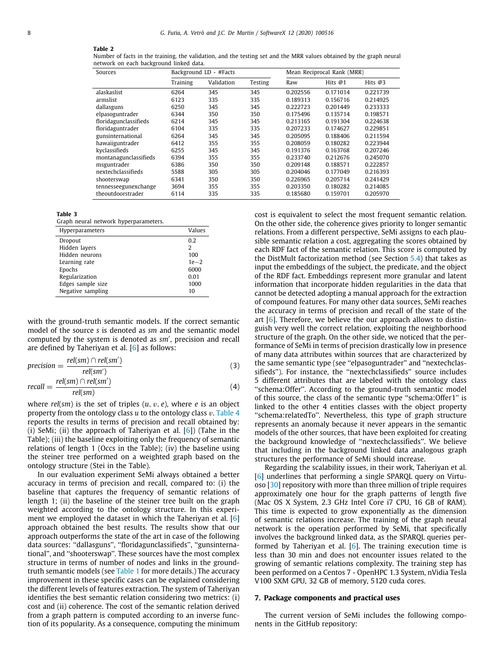#### **Table 2**

<span id="page-7-1"></span>Number of facts in the training, the validation, and the testing set and the MRR values obtained by the graph neural network on each background linked data.

| Sources               |          | Background LD - #Facts |         | Mean Reciprocal Rank (MRR) |           |           |  |
|-----------------------|----------|------------------------|---------|----------------------------|-----------|-----------|--|
|                       | Training | Validation             | Testing | Raw                        | Hits $@1$ | Hits $@3$ |  |
| alaskaslist           | 6264     | 345                    | 345     | 0.202556                   | 0.171014  | 0.221739  |  |
| armslist              | 6123     | 335                    | 335     | 0.189313                   | 0.156716  | 0.214925  |  |
| dallasguns            | 6250     | 345                    | 345     | 0.222723                   | 0.201449  | 0.233333  |  |
| elpasoguntrader       | 6344     | 350                    | 350     | 0.175496                   | 0.135714  | 0.198571  |  |
| floridagunclassifieds | 6214     | 345                    | 345     | 0.213165                   | 0.191304  | 0.224638  |  |
| floridaguntrader      | 6104     | 335                    | 335     | 0.207233                   | 0.174627  | 0.229851  |  |
| gunsinternational     | 6264     | 345                    | 345     | 0.205095                   | 0.188406  | 0.211594  |  |
| hawaiiguntrader       | 6412     | 355                    | 355     | 0.208059                   | 0.180282  | 0.223944  |  |
| kyclassifieds         | 6255     | 345                    | 345     | 0.191376                   | 0.163768  | 0.207246  |  |
| montanagunclassifieds | 6394     | 355                    | 355     | 0.233740                   | 0.212676  | 0.245070  |  |
| msguntrader           | 6386     | 350                    | 350     | 0.209148                   | 0.188571  | 0.222857  |  |
| nextechclassifieds    | 5588     | 305                    | 305     | 0.204046                   | 0.177049  | 0.216393  |  |
| shooterswap           | 6341     | 350                    | 350     | 0.226965                   | 0.205714  | 0.241429  |  |
| tennesseegunexchange  | 3694     | 355                    | 355     | 0.203350                   | 0.180282  | 0.214085  |  |
| theoutdoorstrader     | 6114     | 335                    | 335     | 0.185680                   | 0.159701  | 0.205970  |  |

#### <span id="page-7-2"></span>**Table 3**

Graph neural network hyperparameters.

| Hyperparameters   | Values |
|-------------------|--------|
| Dropout           | 0.2    |
| Hidden layers     | 2      |
| Hidden neurons    | 100    |
| Learning rate     | $1e-2$ |
| Epochs            | 6000   |
| Regularization    | 0.01   |
| Edges sample size | 1000   |
| Negative sampling | 10     |

with the ground-truth semantic models. If the correct semantic model of the source *s* is denoted as *sm* and the semantic model computed by the system is denoted as *sm*′ , precision and recall are defined by Taheriyan et al. [[6\]](#page-9-4) as follows:

$$
precision = \frac{rel(sm) \cap rel(sm')}{rel(sm')}
$$
 (3)

$$
recall = \frac{rel(sm) \cap rel(sm')}{rel(sm)} \tag{4}
$$

where  $rel(sm)$  is the set of triples  $(u, v, e)$ , where *e* is an object property from the ontology class *u* to the ontology class v. [Table](#page-8-1) [4](#page-8-1) reports the results in terms of precision and recall obtained by: (i) SeMi; (ii) the approach of Taheriyan et al. [\[6](#page-9-4)]) (Tahe in the Table); (iii) the baseline exploiting only the frequency of semantic relations of length 1 (Occs in the Table); (iv) the baseline using the steiner tree performed on a weighted graph based on the ontology structure (Stei in the Table).

In our evaluation experiment SeMi always obtained a better accuracy in terms of precision and recall, compared to: (i) the baseline that captures the frequency of semantic relations of length 1; (ii) the baseline of the steiner tree built on the graph weighted according to the ontology structure. In this experiment we employed the dataset in which the Taheriyan et al. [[6\]](#page-9-4) approach obtained the best results. The results show that our approach outperforms the state of the art in case of the following data sources: ''dallasguns'', ''floridagunclassifieds'', ''gunsinternational'', and ''shooterswap''. These sources have the most complex structure in terms of number of nodes and links in the groundtruth semantic models (see [Table](#page-6-2) [1](#page-6-2) for more details.) The accuracy improvement in these specific cases can be explained considering the different levels of features extraction. The system of Taheriyan identifies the best semantic relation considering two metrics: (i) cost and (ii) coherence. The cost of the semantic relation derived from a graph pattern is computed according to an inverse function of its popularity. As a consequence, computing the minimum cost is equivalent to select the most frequent semantic relation. On the other side, the coherence gives priority to longer semantic relations. From a different perspective, SeMi assigns to each plausible semantic relation a cost, aggregating the scores obtained by each RDF fact of the semantic relation. This score is computed by the DistMult factorization method (see Section [5.4\)](#page-5-1) that takes as input the embeddings of the subject, the predicate, and the object of the RDF fact. Embeddings represent more granular and latent information that incorporate hidden regularities in the data that cannot be detected adopting a manual approach for the extraction of compound features. For many other data sources, SeMi reaches the accuracy in terms of precision and recall of the state of the art [[6](#page-9-4)]. Therefore, we believe the our approach allows to distinguish very well the correct relation, exploiting the neighborhood structure of the graph. On the other side, we noticed that the performance of SeMi in terms of precision drastically low in presence of many data attributes within sources that are characterized by the same semantic type (see ''elpasoguntrader'' and ''nextechclassifieds''). For instance, the ''nextechclassifieds'' source includes 5 different attributes that are labeled with the ontology class ''schema:Offer''. According to the ground-truth semantic model of this source, the class of the semantic type ''schema:Offer1'' is linked to the other 4 entities classes with the object property ''schema:relatedTo''. Nevertheless, this type of graph structure represents an anomaly because it never appears in the semantic models of the other sources, that have been exploited for creating the background knowledge of ''nextechclassifieds''. We believe that including in the background linked data analogous graph structures the performance of SeMi should increase.

Regarding the scalability issues, in their work, Taheriyan et al. [[6](#page-9-4)] underlines that performing a single SPARQL query on Virtuoso [[30](#page-9-28)] repository with more than three million of triple requires approximately one hour for the graph patterns of length five (Mac OS X System, 2.3 GHz Intel Core i7 CPU, 16 GB of RAM). This time is expected to grow exponentially as the dimension of semantic relations increase. The training of the graph neural network is the operation performed by SeMi, that specifically involves the background linked data, as the SPARQL queries performed by Taheriyan et al.  $[6]$  $[6]$ . The training execution time is less than 30 min and does not encounter issues related to the growing of semantic relations complexity. The training step has been performed on a Centos 7 - OpenHPC 1.3 System, nVidia Tesla V100 SXM GPU, 32 GB of memory, 5120 cuda cores.

#### **7. Package components and practical uses**

<span id="page-7-0"></span>The current version of SeMi includes the following components in the GitHub repository: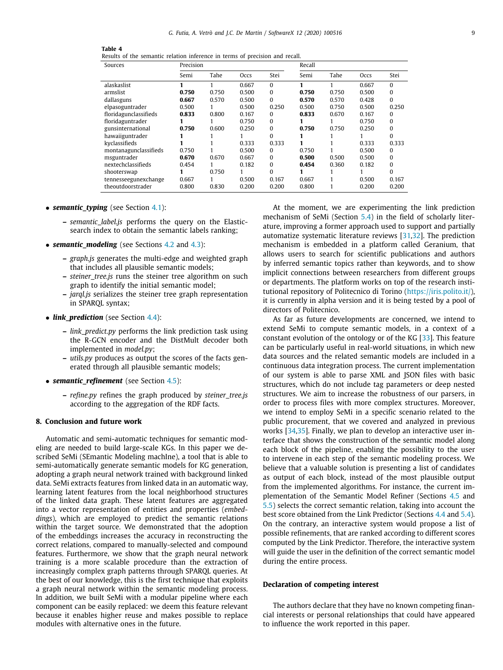| Table 4 |  |                                                                              |  |  |  |
|---------|--|------------------------------------------------------------------------------|--|--|--|
|         |  | Results of the semantic relation inference in terms of precision and recall. |  |  |  |

<span id="page-8-1"></span>

| Sources               | Precision |       |       | Recall       |       |       |       |          |
|-----------------------|-----------|-------|-------|--------------|-------|-------|-------|----------|
|                       | Semi      | Tahe  | Occs  | Stei         | Semi  | Tahe  | Occs  | Stei     |
| alaskaslist           | 1         | 1     | 0.667 | $\Omega$     |       |       | 0.667 | $\Omega$ |
| armslist              | 0.750     | 0.750 | 0.500 | 0            | 0.750 | 0.750 | 0.500 | $\Omega$ |
| dallasguns            | 0.667     | 0.570 | 0.500 | 0            | 0.570 | 0.570 | 0.428 | $\Omega$ |
| elpasoguntrader       | 0.500     |       | 0.500 | 0.250        | 0.500 | 0.750 | 0.500 | 0.250    |
| floridagunclassifieds | 0.833     | 0.800 | 0.167 | 0            | 0.833 | 0.670 | 0.167 | $\Omega$ |
| floridaguntrader      |           |       | 0.750 | 0            |       |       | 0.750 | $\Omega$ |
| gunsinternational     | 0.750     | 0.600 | 0.250 | 0            | 0.750 | 0.750 | 0.250 | $\Omega$ |
| hawaiiguntrader       |           |       |       | $\mathbf{0}$ |       |       |       | $\Omega$ |
| kyclassifieds         |           |       | 0.333 | 0.333        |       |       | 0.333 | 0.333    |
| montanagunclassifieds | 0.750     |       | 0.500 | $\Omega$     | 0.750 |       | 0.500 | $\Omega$ |
| msguntrader           | 0.670     | 0.670 | 0.667 | 0            | 0.500 | 0.500 | 0.500 | $\Omega$ |
| nextechclassifieds    | 0.454     |       | 0.182 | 0            | 0.454 | 0.360 | 0.182 | $\Omega$ |
| shooterswap           |           | 0.750 |       | 0            |       |       |       | $\Omega$ |
| tennesseegunexchange  | 0.667     |       | 0.500 | 0.167        | 0.667 |       | 0.500 | 0.167    |
| theoutdoorstrader     | 0.800     | 0.830 | 0.200 | 0.200        | 0.800 |       | 0.200 | 0.200    |

- *semantic typing* (see Section [4.1](#page-3-4)):
	- **–** *semantic\_label.js* performs the query on the Elasticsearch index to obtain the semantic labels ranking;
- *semantic modeling* (see Sections [4.2](#page-3-5) and [4.3\)](#page-3-3):
	- **–** *graph.js* generates the multi-edge and weighted graph that includes all plausible semantic models;
	- **–** *steiner\_tree.js* runs the steiner tree algorithm on such graph to identify the initial semantic model;
	- **–** *jarql.js* serializes the steiner tree graph representation in SPARQL syntax;
- *link prediction* (see Section [4.4\)](#page-4-2):
	- **–** *link\_predict.py* performs the link prediction task using the R-GCN encoder and the DistMult decoder both implemented in *model.py*;
	- **–** *utils.py* produces as output the scores of the facts generated through all plausible semantic models;
- *semantic\_refinement* (see Section [4.5](#page-4-3)):
	- **–** *refine.py* refines the graph produced by *steiner\_tree.js* according to the aggregation of the RDF facts.

# **8. Conclusion and future work**

<span id="page-8-0"></span>Automatic and semi-automatic techniques for semantic modeling are needed to build large-scale KGs. In this paper we described SeMi (SEmantic Modeling machIne), a tool that is able to semi-automatically generate semantic models for KG generation, adopting a graph neural network trained with background linked data. SeMi extracts features from linked data in an automatic way, learning latent features from the local neighborhood structures of the linked data graph. These latent features are aggregated into a vector representation of entities and properties (*embeddings*), which are employed to predict the semantic relations within the target source. We demonstrated that the adoption of the embeddings increases the accuracy in reconstructing the correct relations, compared to manually-selected and compound features. Furthermore, we show that the graph neural network training is a more scalable procedure than the extraction of increasingly complex graph patterns through SPARQL queries. At the best of our knowledge, this is the first technique that exploits a graph neural network within the semantic modeling process. In addition, we built SeMi with a modular pipeline where each component can be easily replaced: we deem this feature relevant because it enables higher reuse and makes possible to replace modules with alternative ones in the future.

At the moment, we are experimenting the link prediction mechanism of SeMi (Section [5.4](#page-5-1)) in the field of scholarly literature, improving a former approach used to support and partially automatize systematic literature reviews [[31](#page-9-29)[,32\]](#page-9-30). The prediction mechanism is embedded in a platform called Geranium, that allows users to search for scientific publications and authors by inferred semantic topics rather than keywords, and to show implicit connections between researchers from different groups or departments. The platform works on top of the research institutional repository of Politecnico di Torino [\(https://iris.polito.it/\)](https://iris.polito.it/), it is currently in alpha version and it is being tested by a pool of directors of Politecnico.

As far as future developments are concerned, we intend to extend SeMi to compute semantic models, in a context of a constant evolution of the ontology or of the KG [[33](#page-9-31)]. This feature can be particularly useful in real-world situations, in which new data sources and the related semantic models are included in a continuous data integration process. The current implementation of our system is able to parse XML and JSON files with basic structures, which do not include tag parameters or deep nested structures. We aim to increase the robustness of our parsers, in order to process files with more complex structures. Moreover, we intend to employ SeMi in a specific scenario related to the public procurement, that we covered and analyzed in previous works [[34](#page-9-32)[,35\]](#page-9-33). Finally, we plan to develop an interactive user interface that shows the construction of the semantic model along each block of the pipeline, enabling the possibility to the user to intervene in each step of the semantic modeling process. We believe that a valuable solution is presenting a list of candidates as output of each block, instead of the most plausible output from the implemented algorithms. For instance, the current implementation of the Semantic Model Refiner (Sections [4.5](#page-4-3) and [5.5](#page-5-3)) selects the correct semantic relation, taking into account the best score obtained from the Link Predictor (Sections [4.4](#page-4-2) and [5.4\)](#page-5-1). On the contrary, an interactive system would propose a list of possible refinements, that are ranked according to different scores computed by the Link Predictor. Therefore, the interactive system will guide the user in the definition of the correct semantic model during the entire process.

#### **Declaration of competing interest**

The authors declare that they have no known competing financial interests or personal relationships that could have appeared to influence the work reported in this paper.